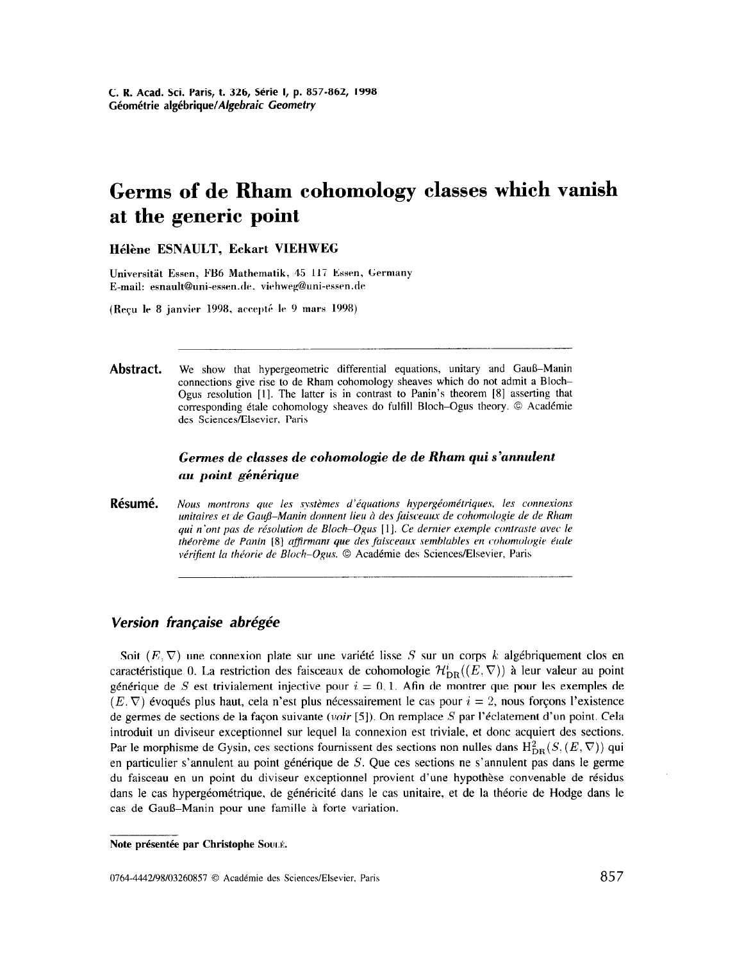# Germs of de Rham cohomology classes which vanish at the generic point

Hélène ESNAULT, Eckart VIEHWEG

Universität Essen, FB6 Mathematik, 45 117 Essen, Germany E-mail: esnault@uni-essen.de. viehweg@uni-essen.de

(Recu le 8 janvier 1998, accepté le 9 mars 1998)

Abstract. We show that hypergeometric differential equations, unitary and Gauß-Manin connections give rise to de Rham cohomology sheaves which do not admit a Bloch-Ogus resolution [I]. The latter is in contrast to Panin's theorem [8] asserting that corresponding étale cohomology sheaves do fulfill Bloch-Ogus theory.  $\circledcirc$  Académie des Sciences/Elsevier, Paris

# Germes de classes de cohomologie de de Rham qui s'annulent au point générique

Résumé. Nous montrons que les systèmes d'équations hypergéométriques, les connexions unitaires et de Gauß–Manin donnent lieu à des faisceaux de cohomologie de de Rham qui n'ont pas de résolution de Bloch-Ogus [1]. Ce dernier exemple contraste avec le théorème de Panin [8] affirmant que des faisceaux semblables en cohomologie étale vérifient la théorie de Bloch-Ogus. © Académie des Sciences/Elsevier, Paris

## Version française abrégée

Soit  $(E, \nabla)$  une connexion plate sur une variété lisse S sur un corps k algébriquement clos en caractéristique 0. La restriction des faisceaux de cohomologie  $\mathcal{H}_{DR}^{i}(E, \nabla)$  à leur valeur au point générique de S est trivialement injective pour  $i = 0, 1$ . Afin de montrer que pour les exemples de  $(E.\nabla)$  évoqués plus haut, cela n'est plus nécessairement le cas pour  $i = 2$ , nous forçons l'existence de germes de sections de la façon suivante (voir [5]). On remplace S par l'éclatement d'un point. Cela introduit un diviseur exceptionnel sur lequel la connexion est triviale, et done acquiert des sections. Par le morphisme de Gysin, ces sections fournissent des sections non nulles dans  $H_{DR}^2(S, (E, \nabla))$  qui en particulier s'annulent au point générique de  $S$ . Que ces sections ne s'annulent pas dans le germe du faisceau en un point du diviseur exceptionnel provient d'une hypothèse convenable de résidus dans le cas hypergéométrique, de généricité dans le cas unitaire, et de la théorie de Hodge dans le cas de Gauß-Manin pour une famille à forte variation.

Note présentée par Christophe Souré.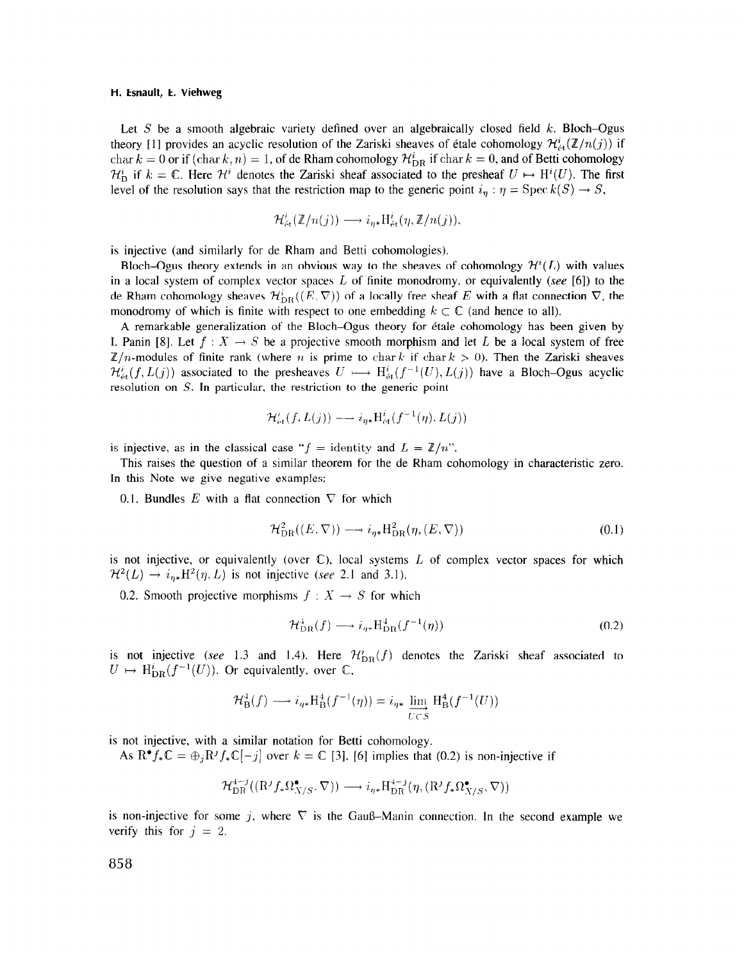#### H. Esnault, E. Viehweg

Let  $S$  be a smooth algebraic variety defined over an algebraically closed field  $k$ . Bloch-Ogus theory [1] provides an acyclic resolution of the Zariski sheaves of étale cohomology  $\mathcal{H}_{\alpha}^{i}(\mathbb{Z}/n(j))$  if char  $k = 0$  or if  $(\text{char } k, n) = 1$ , of de Rham cohomology  $\mathcal{H}_{DR}^i$  if char  $k = 0$ , and of Betti cohomology  $\mathcal{H}_{\text{B}}^{i}$  if  $k = \mathbb{C}$ . Here  $\mathcal{H}^{i}$  denotes the Zariski sheaf associated to the presheaf  $U \mapsto H^{i}(U)$ . The first level of the resolution says that the restriction map to the generic point  $i_{\eta} : \eta = \text{Spec } k(S) \to S$ ,

$$
\mathcal{H}'_{\text{\'et}}(\mathbb{Z}/n(j)) \longrightarrow i_{\eta *} \mathrm{H}^i_{\text{\'et}}(\eta, \mathbb{Z}/n(j)),
$$

is injective (and similarly for de Rham and Betti cohomologies).

Bloch-Ogus theory extends in an obvious way to the sheaves of cohomology  $\mathcal{H}^{i}(L)$  with values in a local system of complex vector spaces L of finite monodromy, or equivalently (see [6]) to the de Rham cohomology sheaves  $\mathcal{H}_{DR}^{i}((E, \nabla))$  of a locally free sheaf E with a flat connection  $\nabla$ , the monodromy of which is finite with respect to one embedding  $k \subset \mathbb{C}$  (and hence to all).

A remarkable generalization of the Bloch–Ogus theory for étale cohomology has been given by I. Panin [8]. Let  $f: X \to S$  be a projective smooth morphism and let L be a local system of free  $\mathbb{Z}/n$ -modules of finite rank (where *n* is prime to char k if char  $k > 0$ ). Then the Zariski sheaves  $\mathcal{H}^i_{\acute{e}t}(f, L(j))$  associated to the presheaves  $U \mapsto H^i_{\acute{e}t}(f^{-1}(U), L(j))$  have a Bloch-Ogus acyclic resolution on S. In particular. the restriction to the generic point

$$
\mathcal{H}^{i}_{\mathrm{\acute{e}t}}(f,L(j))\longrightarrow i_{\eta *} \mathrm{H}^{i}_{\mathrm{\acute{e}t}}(f^{-1}(\eta),L(j))
$$

is injective, as in the classical case " $f =$  identity and  $L = \mathbb{Z}/n$ ".

This raises the question of a similar theorem for the de Rham cohomology in characteristic zero. In this Note we give negative examples:

0.1. Bundles E with a flat connection  $\nabla$  for which

$$
\mathcal{H}_{DR}^2((E,\nabla)) \longrightarrow i_{\eta *} \mathcal{H}_{DR}^2(\eta,(E,\nabla))
$$
\n(0.1)

is not injective, or equivalently (over  $\mathbb{C}$ ), local systems L of complex vector spaces for which  $\mathcal{H}^2(L) \rightarrow i_{\eta*}H^2(\eta, L)$  is not injective (see 2.1 and 3.1).

0.2. Smooth projective morphisms  $f : X \to S$  for which

$$
\mathcal{H}_{\mathrm{DR}}^{\perp}(f) \longrightarrow i_{\eta*} \mathrm{H}_{\mathrm{DR}}^{\perp}(f^{-1}(\eta)) \tag{0.2}
$$

is not injective (see 1.3 and 1.4). Here  $\mathcal{H}_{DR}^{i}(f)$  denotes the Zariski sheaf associated to  $U \mapsto \mathrm{H}^i_{\mathrm{DR}}(f^{-1}(U))$ . Or equivalently, over  $\mathbb{C}$ ,

$$
\mathcal{H}^4_{\mathcal{B}}(f) \longrightarrow i_{\eta*} \mathcal{H}^4_{\mathcal{B}}(f^{-1}(\eta)) = i_{\eta*} \varprojlim_{U \subset S} \mathcal{H}^4_{\mathcal{B}}(f^{-1}(U))
$$

is not injective, with a similar notation for Betti cohomology.

As  $\mathbb{R}^{\bullet} f_*\mathbb{C} = \bigoplus_i \mathbb{R}^j f_*\mathbb{C}[-j]$  over  $k = \mathbb{C}$  [3], [6] implies that (0.2) is non-injective if

$$
\mathcal{H}^{4-j}_{\mathrm{DR}}((\mathrm{R}^jf_*\Omega_{X/S}^\bullet,\nabla))\longrightarrow i_{\eta *} \mathrm{H}^{4-j}_{\mathrm{DR}}(\eta,(\mathrm{R}^jf_*\Omega_{X/S}^\bullet,\nabla))
$$

is non-injective for some j, where  $\nabla$  is the Gauß-Manin connection. In the second example we verify this for  $j = 2$ .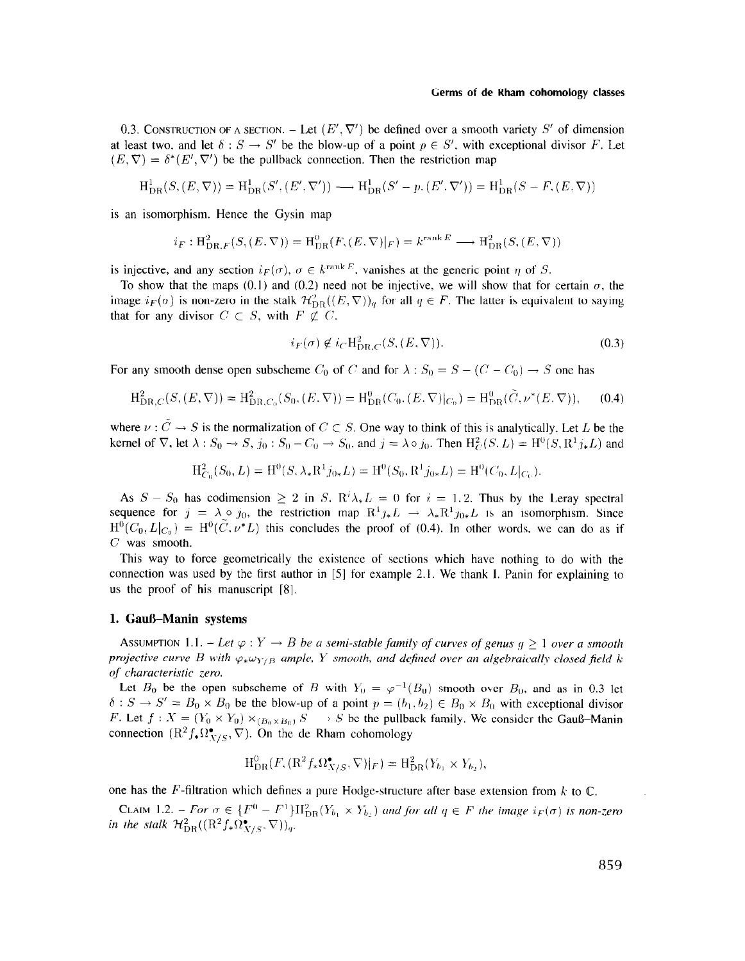#### Germs of de Rham cohomology classes

0.3. CONSTRUCTION OF A SECTION. - Let  $(E', \nabla')$  be defined over a smooth variety S' of dimension at least two, and let  $\delta: S \to S'$  be the blow-up of a point  $p \in S'$ , with exceptional divisor F. Let  $(E, \nabla) = \delta^*(E', \nabla')$  be the pullback connection. Then the restriction map

$$
H_{DR}^1(S,(E,\nabla)) = H_{DR}^1(S',(E',\nabla')) \longrightarrow H_{DR}^1(S'-p.(E',\nabla')) = H_{DR}^1(S-F,(E,\nabla))
$$

is an isomorphism. Hence the Gysin map

$$
i_F: \mathrm{H}^2_{\mathrm{DR},F}(S,(E,\nabla)) = \mathrm{H}^0_{\mathrm{DR}}(F,(E,\nabla)|_F) = k^{\mathrm{rank}\,E} \longrightarrow \mathrm{H}^2_{\mathrm{DR}}(S,(E,\nabla))
$$

is injective, and any section  $i_F(\sigma)$ ,  $\sigma \in k^{\text{rank } E}$ , vanishes at the generic point  $\eta$  of S.

To show that the maps (0.1) and (0.2) need not be injective, we will show that for certain  $\sigma$ , the image  $i_F(\sigma)$  is non-zero in the stalk  $\mathcal{H}_{\text{DB}}^2((E, \nabla))_q$  for all  $q \in F$ . The latter is equivalent to saying that for any divisor  $C \subset S$ , with  $F \not\subset C$ .

$$
i_F(\sigma) \notin i_C H^2_{\text{DR},C}(S,(E,\nabla)).
$$
\n(0.3)

For any smooth dense open subscheme  $C_0$  of C and for  $\lambda : S_0 = S - (C - C_0) \rightarrow S$  one has

$$
H_{\text{DR},C}^2(S,(E,\nabla)) = H_{\text{DR},C_0}^2(S_0,(E,\nabla)) = H_{\text{DR}}^0(C_0,(E,\nabla)|_{C_0}) = H_{\text{DR}}^0(\tilde{C},\nu^*(E,\nabla)),\tag{0.4}
$$

where  $\nu : \check{C} \to S$  is the normalization of  $C \subset S$ . One way to think of this is analytically. Let L be the kernel of  $\nabla$ , let  $\lambda: S_0 \to S$ ,  $j_0: S_0 - C_0 \to S_0$ , and  $j = \lambda \circ j_0$ . Then  $H_C^2(S, L) = H^0(S, R^1 j_* L)$  and

$$
\mathrm{H}_{C_0}^2(S_0, L) = \mathrm{H}^0(S, \lambda_* \mathrm{R}^1 j_{0*} L) = \mathrm{H}^0(S_0, \mathrm{R}^1 j_{0*} L) = \mathrm{H}^0(C_0, L|_{C_0}).
$$

As  $S - S_0$  has codimension  $\geq 2$  in S,  $R^i \lambda_* L = 0$  for  $i = 1, 2$ . Thus by the Leray spectral sequence for  $j = \lambda \circ j_0$ , the restriction map  $R^1 j_* L \rightarrow \lambda_* R^1 j_{0*} L$  is an isomorphism. Since  $H^0(C_0,L|_{C_0}) = H^0(\tilde{C},\nu^*L)$  this concludes the proof of (0.4). In other words, we can do as if C was smooth.

This way to force geometrically the existence of sections which have nothing to do with the connection was used by the first author in [5] for example 2.1. We thank 1. Panin for explaining to us the proof of his manuscript [S].

## 1. Gauß-Manin systems

ASSUMPTION 1.1. - Let  $\varphi: Y \to B$  be a semi-stable family of curves of genus  $q \ge 1$  over a smooth projective curve B with  $\varphi_*\omega_{Y/B}$  ample, Y smooth, and defined over an algebraically closed field k: qf characteristic zero.

Let  $B_0$  be the open subscheme of B with  $Y_0 = \varphi^{-1}(B_0)$  smooth over  $B_0$ , and as in 0.3 let  $\delta$ :  $S \to S' = B_0 \times B_0$  be the blow-up of a point  $p = (b_1, b_2) \in B_0 \times B_0$  with exceptional divisor F. Let  $f : X = (Y_0 \times Y_0) \times_{(B_0 \times B_0)} S \longrightarrow S$  be the pullback family. We consider the Gauß-Manin connection  $(R^2f_*\Omega^{\bullet}_{V/S}, \nabla)$ . On the de Rham cohomology

$$
\mathrm{H}^0_{\mathrm{DR}}(F, (\mathrm{R}^2 f_* \Omega^{\bullet}_{X/S}, \nabla)|_F) = \mathrm{H}^2_{\mathrm{DR}}(Y_{b_1} \times Y_{b_2}),
$$

one has the F-filtration which defines a pure Hodge-structure after base extension from  $k$  to  $\mathbb{C}$ .

 $C_{L,M}$ ,  $1.2$ .  $F_{\text{on}} = \epsilon$   $[E^{()} - E^{[]}]$   $W^{[]}$ ,  $(Y, \ldots, Y, \lambda)$  is non-zero all  $\epsilon$   $E$  the image  $\epsilon$  is non-zero  $\epsilon$ in the stalk  $1/2$ ,  $((D2f,0)$ ,  $(\overline{Y}))$ ,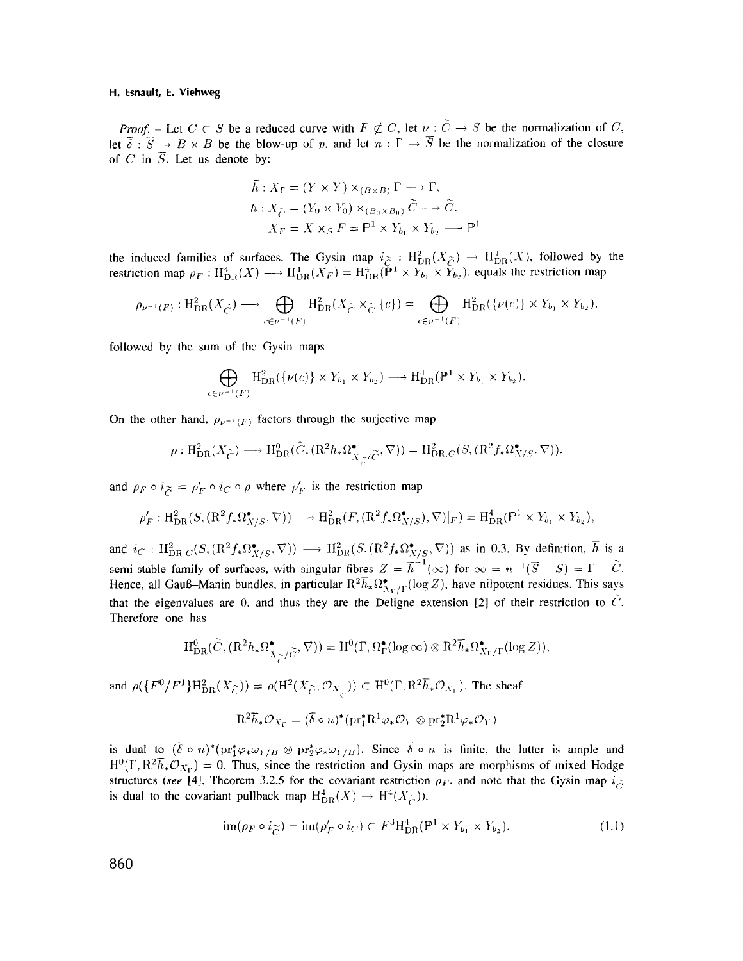## H. Esnault, E. Viehweg

*Proof.* – Let  $C \subset S$  be a reduced curve with  $F \not\subset C$ , let  $\nu : \widetilde{C} \to S$  be the normalization of C, let  $\overline{\delta}$ :  $\overline{S} \rightarrow B \times B$  be the blow-up of p, and let  $n : \Gamma \rightarrow \overline{S}$  be the normalization of the closure of C in  $\overline{S}$ . Let us denote by:

$$
\overline{h}: X_{\Gamma} = (Y \times Y) \times_{(B \times B)} \Gamma \longrightarrow \Gamma,
$$
  
\n
$$
h: X_{\widetilde{C}} = (Y_0 \times Y_0) \times_{(B_0 \times B_0)} \widetilde{C} \longrightarrow \widetilde{C}.
$$
  
\n
$$
X_F = X \times_S F = \mathbb{P}^1 \times Y_{b_1} \times Y_{b_2} \longrightarrow \mathbb{P}^1
$$

the induced families of surfaces. The Gysin map  $i\gtrsim$  :  $H_{\text{DE}}^{2}(X_{\gtrsim}) \rightarrow H_{\text{DE}}^{4}(X)$ , followed by the restriction map  $\rho_F : H^4_{\text{DP}}(X) \longrightarrow H^4_{\text{DP}}(X_F) = H^4_{\text{DP}}(\mathbb{P}^1 \times Y_h, \times \hat{Y}_h)$ , equals the restriction map

$$
\rho_{\nu^{-1}(F)}: \mathrm{H}^2_{\mathrm{DR}}(X_{\widetilde{C}}) \longrightarrow \bigoplus_{c \in \nu^{-1}(F)} \mathrm{H}^2_{\mathrm{DR}}(X_{\widetilde{C}} \times_{\widetilde{C}} \{c\}) = \bigoplus_{c \in \nu^{-1}(F)} \mathrm{H}^2_{\mathrm{DR}}(\{\nu(c)\} \times Y_{b_1} \times Y_{b_2}),
$$

followed by the sum of the Gysin maps

$$
\bigoplus_{c \in \nu^{-1}(F)} \mathrm{H}^2_{\mathrm{DR}}(\{\nu(c)\} \times Y_{b_1} \times Y_{b_2}) \longrightarrow \mathrm{H}^4_{\mathrm{DR}}(\mathbb{P}^1 \times Y_{b_1} \times Y_{b_2})
$$

On the other hand,  $\rho_{\nu^{-1}(F)}$  factors through the surjective map

$$
\rho: \mathrm{H}^2_{\mathrm{DR}}(X_{\widetilde{C}}) \longrightarrow \mathrm{H}^0_{\mathrm{DR}}(\widetilde{C}, (\mathrm{R}^2 h_* \Omega^{\bullet}_{X_{\widetilde{C}}/\widetilde{C}}, \nabla)) = \mathrm{H}^2_{\mathrm{DR},C}(S, (\mathrm{R}^2 f_* \Omega^{\bullet}_{X/S}, \nabla)),
$$

and  $\rho_F \circ i_{\widetilde{C}} = \rho'_F \circ i_C \circ \rho$  where  $\rho'_F$  is the restriction map

$$
\rho'_F: \mathrm{H}^2_{\mathrm{DR}}(S,(\mathrm{R}^2f_*\Omega_{X/S}^{\bullet},\nabla)) \longrightarrow \mathrm{H}^2_{\mathrm{DR}}(F,(\mathrm{R}^2f_*\Omega_{X/S}^{\bullet}),\nabla)|_F) = \mathrm{H}^4_{\mathrm{DR}}(\mathbb{P}^1 \times Y_{b_1} \times Y_{b_2}),
$$

and  $i_C$ :  $H_{DR,C}^2(S, (\mathbb{R}^2 f_* \Omega_{X/S}^{\bullet}, \nabla)) \longrightarrow H_{DR}^2(S, (\mathbb{R}^2 f_* \Omega_{X/S}^{\bullet}, \nabla))$  as in 0.3. By definition,  $\overline{h}$  is a semi-stable family of surfaces, with singular fibres  $Z = \overline{h}^{-1}(\infty)$  for  $\infty = n^{-1}(\overline{S} - S) = \Gamma - \tilde{C}$ . Hence, all Gauß-Manin bundles, in particular  $R^2\overline{h}_*\Omega_{X_\Gamma/\Gamma}^{\bullet}(\log Z)$ , have nilpotent residues. This says that the eigenvalues are 0, and thus they are the Deligne extension [2] of their restriction to  $C$ . Therefore one has

$$
H^0_{DR}(\widetilde{C}, (R^2h_*\Omega^{\bullet}_{X_{\widetilde{C}}/\widetilde{C}}, \nabla)) = H^0(\Gamma, \Omega^{\bullet}_{\Gamma}(\log \infty) \otimes R^2\overline{h}_*\Omega^{\bullet}_{X_{\Gamma}/\Gamma}(\log Z)).
$$

and  $\rho(\lbrace F^0/F^1\rbrace H_{\text{DR}}^2(X_{\widetilde{C}})) = \rho(H^2(X_{\widetilde{C}}, \mathcal{O}_{X_{\widetilde{C}}})) \subset H^0(\Gamma, R^2\overline{h}_*\mathcal{O}_{X_{\Gamma}}).$  The sheaf

$$
\mathrm{R}^2 \overline{h}_* \mathcal{O}_{X_{\Gamma}} = (\overline{\delta} \circ n)^* (\mathrm{pr}_1^* \mathrm{R}^1 \varphi_* \mathcal{O}_Y \otimes \mathrm{pr}_2^* \mathrm{R}^1 \varphi_* \mathcal{O}_Y)
$$

is dual to  $(\bar{\delta} \circ n)^*(pr_1^*\varphi_*\omega_{Y/B} \otimes pr_2^*\varphi_*\omega_{Y/B})$ . Since  $\bar{\delta} \circ n$  is finite, the latter is ample and  $H^0(\Gamma, R^2\bar{h}_*\mathcal{O}_{X_{\Gamma}}) = 0$ . Thus, since the restriction and Gysin maps are morphisms of mixed Hodge  $\frac{1}{\sqrt{2}}$  for  $\frac{1}{\sqrt{2}}$ ,  $\frac{1}{\sqrt{2}}$ ,  $\frac{1}{\sqrt{2}}$ ,  $\frac{1}{\sqrt{2}}$ ,  $\frac{1}{\sqrt{2}}$ ,  $\frac{1}{\sqrt{2}}$ ,  $\frac{1}{\sqrt{2}}$ ,  $\frac{1}{\sqrt{2}}$ ,  $\frac{1}{\sqrt{2}}$ ,  $\frac{1}{\sqrt{2}}$ ,  $\frac{1}{\sqrt{2}}$ ,  $\frac{1}{\sqrt{2}}$ ,  $\frac{1}{\sqrt{2}}$ ,  $\frac{1}{\sqrt{2}}$ ,  $\frac{1}{\sqrt$  $\frac{1}{\sqrt{2}}$  is determined to the covariant points.

$$
\operatorname{im}(\rho_F \circ i_{\widetilde{C}}) = \operatorname{im}(\rho'_F \circ i_C) \subset F^3 H^4_{DR}(\mathbb{P}^1 \times Y_{b_1} \times Y_{b_2}).\tag{1.1}
$$

860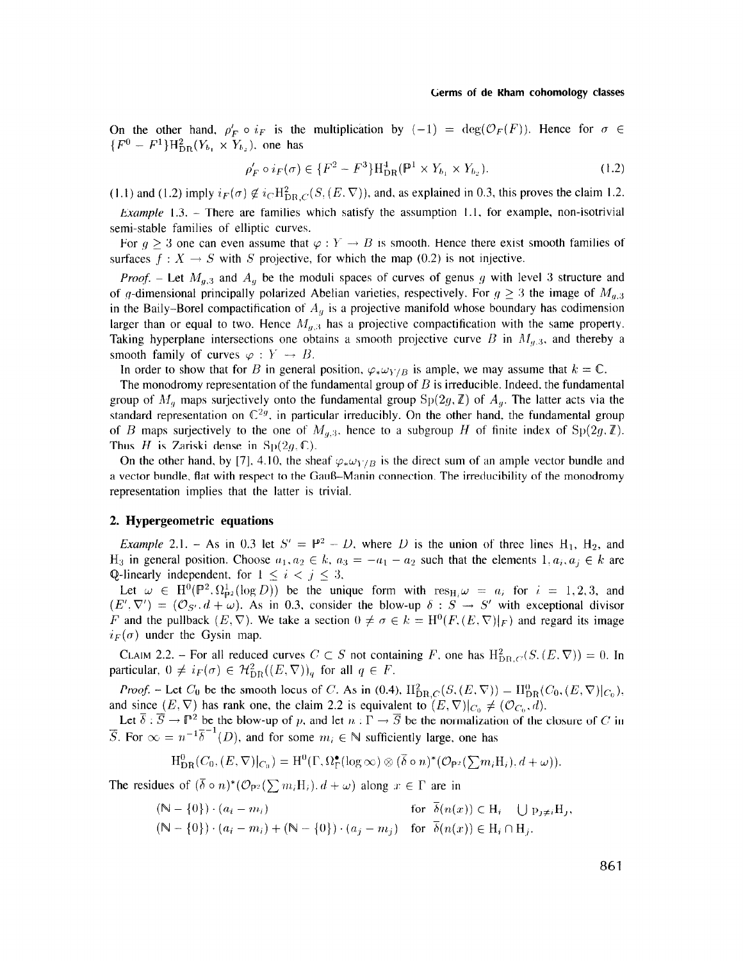#### Germs of de Rham cohomology classes

On the other hand,  $\rho'_F \circ i_F$  is the multiplication by  $(-1) = \deg(\mathcal{O}_F(F))$ . Hence for  $\sigma \in$  ${F^0 - F^1}H_{DR}^2(Y_{b_1} \times Y_{b_2})$ , one has

$$
\rho'_F \circ i_F(\sigma) \in \{F^2 - F^3\} \mathcal{H}_{DR}^4(\mathbb{P}^1 \times Y_{b_1} \times Y_{b_2}).
$$
\n(1.2)

(1.1) and (1.2) imply  $i_F(\sigma) \notin i_C H_{\text{DR},C}^2(S,(E,\nabla))$ , and, as explained in 0.3, this proves the claim 1.2.

*Example* 1.3. – There are families which satisfy the assumption 1.1, for example, non-isotrivial semi-stable families of elliptic curves.

For  $q > 3$  one can even assume that  $\varphi : Y \to B$  is smooth. Hence there exist smooth families of surfaces  $f: X \to S$  with S projective, for which the map (0.2) is not injective.

*Proof.* – Let  $M_{g,3}$  and  $A_g$  be the moduli spaces of curves of genus g with level 3 structure and of g-dimensional principally polarized Abelian varieties, respectively. For  $g \geq 3$  the image of  $M_{g,3}$ in the Baily-Borel compactification of  $A<sub>g</sub>$  is a projective manifold whose boundary has codimension larger than or equal to two. Hence  $M_{g,3}$  has a projective compactification with the same property. Taking hyperplane intersections one obtains a smooth projective curve B in  $M_{g,3}$ , and thereby a smooth family of curves  $\varphi : Y \to B$ .

In order to show that for B in general position,  $\varphi_* \omega_{Y/B}$  is ample, we may assume that  $k = \mathbb{C}$ .

The monodromy representation of the fundamental group of  $B$  is irreducible. Indeed, the fundamental group of  $M_a$  maps surjectively onto the fundamental group  $Sp(2g,\mathbb{Z})$  of  $A_a$ . The latter acts via the standard representation on  $\mathbb{C}^{2g}$ , in particular irreducibly. On the other hand, the fundamental group of B maps surjectively to the one of  $M_{a,3}$ , hence to a subgroup H of finite index of  $Sp(2g, \mathbb{Z})$ . Thus H is Zariski dense in  $Sp(2g, \mathbb{C})$ .

On the other hand, by [7], 4.10, the sheaf  $\varphi_* \omega_{Y/B}$  is the direct sum of an ample vector bundle and a vector bundle, flat with respect to the GauB-Manin connection. The irreducibility of the monodromy representation implies that the latter is trivial.

## 2. Hypergeometric equations

*Example* 2.1. - As in 0.3 let  $S' = \mathbb{P}^2 - D$ , where D is the union of three lines H<sub>1</sub>, H<sub>2</sub>, and H<sub>3</sub> in general position. Choose  $a_1, a_2 \in k$ ,  $a_3 = -a_1 - a_2$  such that the elements  $1, a_i, a_j \in k$  are Q-linearly independent, for  $1 \leq i < j \leq 3$ ,

Let  $\omega \in H^0(\mathbb{P}^2, \Omega_{\mathbb{P}^2}^1(\log D))$  be the unique form with  $res_{H_i}\omega = a_i$  for  $i = 1, 2, 3$ , and  $(E', \nabla') = (\mathcal{O}_{S'}, d + \omega)$ . As in 0.3, consider the blow-up  $\delta : S \to S'$  with exceptional divisor F and the pullback  $(E, \nabla)$ . We take a section  $0 \neq \sigma \in k = H^0(F, (E, \nabla)|_F)$  and regard its image  $i_F(\sigma)$  under the Gysin map.

CLAIM 2.2. – For all reduced curves  $C \subset S$  not containing F, one has  $H_{DR}^{2}(S_{1}(E, \nabla)) = 0$ . In particular,  $0 \neq i_F(\sigma) \in H^2_{DR}((E,\nabla))_q$  for all  $q \in F$ .

*Proof.* - Let  $C_0$  be the smooth locus of C. As in (0.4),  $H_{DR,C}^2(S,(E,\nabla)) = H_{DR}^0(C_0,(E,\nabla)|_{C_0}),$ and since (E. V) has rank one, the claim 2.2 is equivalent to  $(E, \nabla)$ ,  $(0, \nabla)$ . Let  $\overline{\mathcal{L}}$ .  $\overline{\mathcal{L}}$  is 3 be the blow-up of p. and let  $v$  is  $\overline{\mathcal{L}}$  the the normalization of the closure of  $C$ .

 $\overline{S}$ . For  $\infty = n^{-1}\overline{\delta}^{-1}(D)$ , and for some  $m_i \in \mathbb{N}$  sufficiently large, one has

$$
H^0_{DR}(C_0,(E,\nabla)|_{C_0})=H^0(\Gamma,\Omega^{\bullet}_{\Gamma}(\log \infty)\otimes (\overline{\delta}\circ n)^{*}(\mathcal{O}_{\mathbf{P}^2}(\sum m_iH_i),d+\omega)).
$$

The residues of  $(\bar{\delta} \circ n)^*(\mathcal{O}_{\mathbb{P}^2}(\sum m_i H_i), d + \omega)$  along  $x \in \Gamma$  are in

$$
(\mathbb{N} - \{0\}) \cdot (a_i - m_i) \quad \text{for } \overline{\delta}(n(x)) \in H_i - \bigcup p_{j \neq i} H_j,
$$
  
\n
$$
(\mathbb{N} - \{0\}) \cdot (a_i - m_i) + (\mathbb{N} - \{0\}) \cdot (a_j - m_j) \quad \text{for } \overline{\delta}(n(x)) \in H_i \cap H_j.
$$